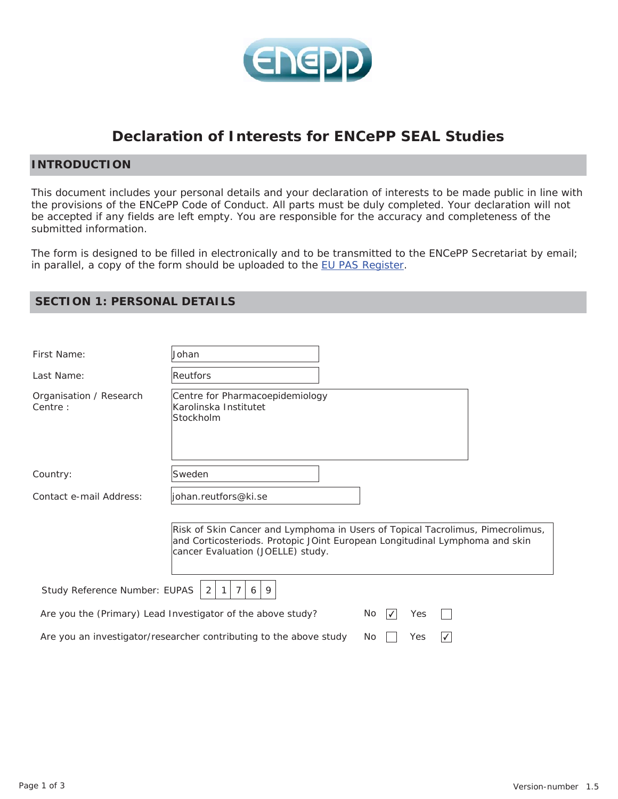

# **Declaration of Interests for ENCePP SEAL Studies**

# **INTRODUCTION**

This document includes your personal details and your declaration of interests to be made public in line with the provisions of the ENCePP Code of Conduct. All parts must be duly completed. Your declaration will not be accepted if any fields are left empty. You are responsible for the accuracy and completeness of the submitted information.

The form is designed to be filled in electronically and to be transmitted to the ENCePP Secretariat by email; in parallel, a copy of the form should be uploaded to the EU PAS Register.

# **SECTION 1: PERSONAL DETAILS**

| First Name:                         | Johan                                                                                                                                                                                              |
|-------------------------------------|----------------------------------------------------------------------------------------------------------------------------------------------------------------------------------------------------|
| Last Name:                          | Reutfors                                                                                                                                                                                           |
| Organisation / Research<br>Centre : | Centre for Pharmacoepidemiology<br>Karolinska Institutet<br>Stockholm                                                                                                                              |
| Country:                            | Sweden                                                                                                                                                                                             |
| Contact e-mail Address:             | johan.reutfors@ki.se                                                                                                                                                                               |
|                                     | Risk of Skin Cancer and Lymphoma in Users of Topical Tacrolimus, Pimecrolimus,<br>and Corticosteriods. Protopic JOint European Longitudinal Lymphoma and skin<br>cancer Evaluation (JOELLE) study. |
| Study Reference Number: EUPAS       | 6<br>9<br>2                                                                                                                                                                                        |
|                                     | Are you the (Primary) Lead Investigator of the above study?<br>No.<br>Yes<br>$\mathcal{V}$                                                                                                         |
|                                     | Are you an investigator/researcher contributing to the above study<br>Yes<br>No                                                                                                                    |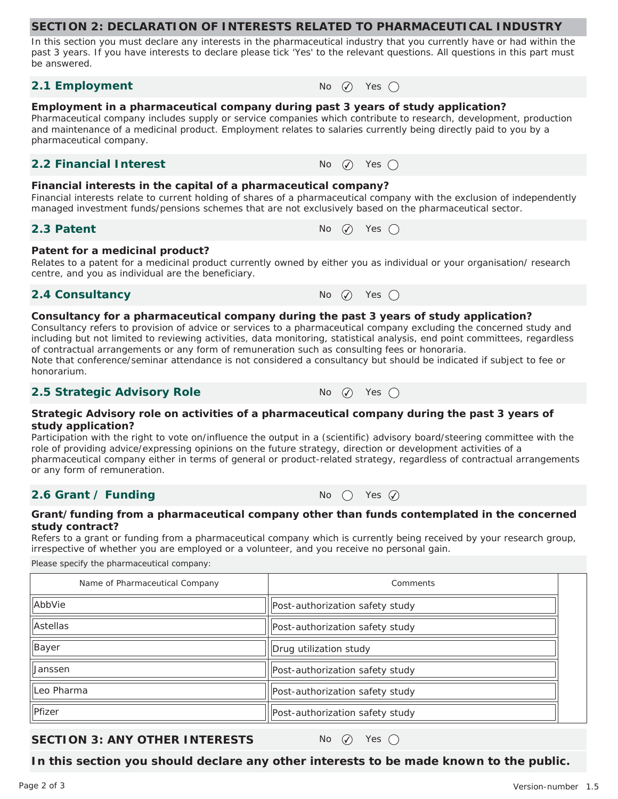#### **SECTION 2: DECLARATION OF INTERESTS RELATED TO PHARMACEUTICAL INDUSTRY**

In this section you must declare any interests in the pharmaceutical industry that you currently have or had within the past 3 years. If you have interests to declare please tick 'Yes' to the relevant questions. All questions in this part must be answered.

### **2.1 Employment**  $N_0$   $\oslash$  Yes  $\oslash$

#### **Employment in a pharmaceutical company during past 3 years of study application?**

Pharmaceutical company includes supply or service companies which contribute to research, development, production and maintenance of a medicinal product. Employment relates to salaries currently being directly paid to you by a pharmaceutical company.

### **2.2 Financial Interest**  $\qquad \qquad \mathsf{No} \quad \mathsf{No} \quad \mathsf{Yes} \quad \mathsf{On}$

#### **Financial interests in the capital of a pharmaceutical company?**

Financial interests relate to current holding of shares of a pharmaceutical company with the exclusion of independently managed investment funds/pensions schemes that are not exclusively based on the pharmaceutical sector.

### **2.3 Patent**  $\bigcap_{n=1}^{\infty} P_n$   $\bigcap_{n=1}^{\infty} P_n$   $\bigcap_{n=1}^{\infty} P_n$   $\bigcap_{n=1}^{\infty} P_n$   $\bigcap_{n=1}^{\infty} P_n$   $\bigcap_{n=1}^{\infty} P_n$

#### **Patent for a medicinal product?**

Relates to a patent for a medicinal product currently owned by either you as individual or your organisation/ research centre, and you as individual are the beneficiary.

# **2.4 Consultancy** No  $\varnothing$  Yes  $\bigcap$

#### **Consultancy for a pharmaceutical company during the past 3 years of study application?**

Consultancy refers to provision of advice or services to a pharmaceutical company excluding the concerned study and including but not limited to reviewing activities, data monitoring, statistical analysis, end point committees, regardless of contractual arrangements or any form of remuneration such as consulting fees or honoraria. Note that conference/seminar attendance is not considered a consultancy but should be indicated if subject to fee or honorarium.

# **2.5 Strategic Advisory Role** No ⊘ Yes ○

#### **Strategic Advisory role on activities of a pharmaceutical company during the past 3 years of study application?**

Participation with the right to vote on/influence the output in a (scientific) advisory board/steering committee with the role of providing advice/expressing opinions on the future strategy, direction or development activities of a pharmaceutical company either in terms of general or product-related strategy, regardless of contractual arrangements or any form of remuneration.

# **2.6 Grant / Funding**  $N_0$  (  $\gamma$  Yes  $\widehat{Q}$

#### **Grant/funding from a pharmaceutical company other than funds contemplated in the concerned study contract?**

Refers to a grant or funding from a pharmaceutical company which is currently being received by your research group, irrespective of whether you are employed or a volunteer, and you receive no personal gain.

Please specify the pharmaceutical company:

| Name of Pharmaceutical Company | Comments                        |  |
|--------------------------------|---------------------------------|--|
| AbbVie                         | Post-authorization safety study |  |
| Astellas                       | Post-authorization safety study |  |
| Bayer                          | Drug utilization study          |  |
| <b>Janssen</b>                 | Post-authorization safety study |  |
| Leo Pharma                     | Post-authorization safety study |  |
| Pfizer                         | Post-authorization safety study |  |

# **SECTION 3: ANY OTHER INTERESTS** No  $\varnothing$  Yes  $\bigcap$

**In this section you should declare any other interests to be made known to the public.**